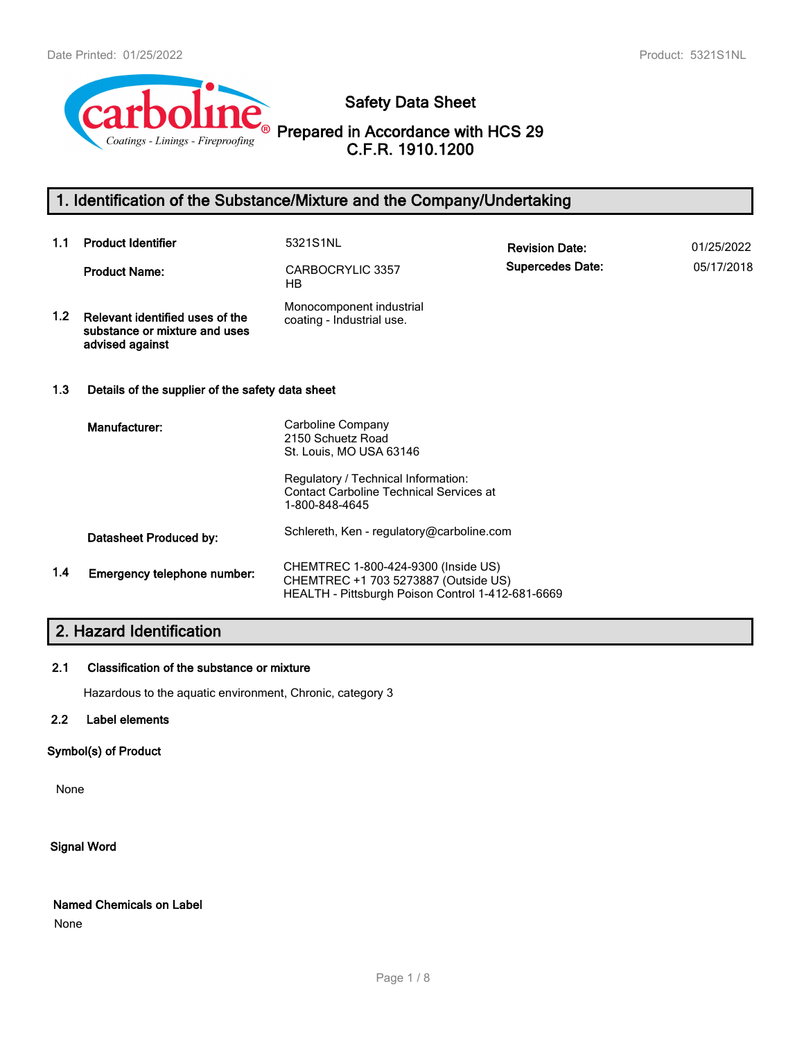

**Safety Data Sheet**

**Prepared in Accordance with HCS 29 C.F.R. 1910.1200**

# **1. Identification of the Substance/Mixture and the Company/Undertaking**

| 1.1 | <b>Product Identifier</b>                                                           | 5321S1NL                                                                                                                         | <b>Revision Date:</b>   | 01/25/2022 |
|-----|-------------------------------------------------------------------------------------|----------------------------------------------------------------------------------------------------------------------------------|-------------------------|------------|
|     | <b>Product Name:</b>                                                                | CARBOCRYLIC 3357<br>HB.                                                                                                          | <b>Supercedes Date:</b> | 05/17/2018 |
| 1.2 | Relevant identified uses of the<br>substance or mixture and uses<br>advised against | Monocomponent industrial<br>coating - Industrial use.                                                                            |                         |            |
| 1.3 | Details of the supplier of the safety data sheet                                    |                                                                                                                                  |                         |            |
|     | Manufacturer:                                                                       | Carboline Company<br>2150 Schuetz Road<br>St. Louis, MO USA 63146                                                                |                         |            |
|     |                                                                                     | Regulatory / Technical Information:<br><b>Contact Carboline Technical Services at</b><br>1-800-848-4645                          |                         |            |
|     | Datasheet Produced by:                                                              | Schlereth, Ken - regulatory@carboline.com                                                                                        |                         |            |
| 1.4 | Emergency telephone number:                                                         | CHEMTREC 1-800-424-9300 (Inside US)<br>CHEMTREC +1 703 5273887 (Outside US)<br>HEALTH - Pittsburgh Poison Control 1-412-681-6669 |                         |            |

# **2. Hazard Identification**

### **2.1 Classification of the substance or mixture**

Hazardous to the aquatic environment, Chronic, category 3

### **2.2 Label elements**

### **Symbol(s) of Product**

None

**Signal Word**

### **Named Chemicals on Label**

None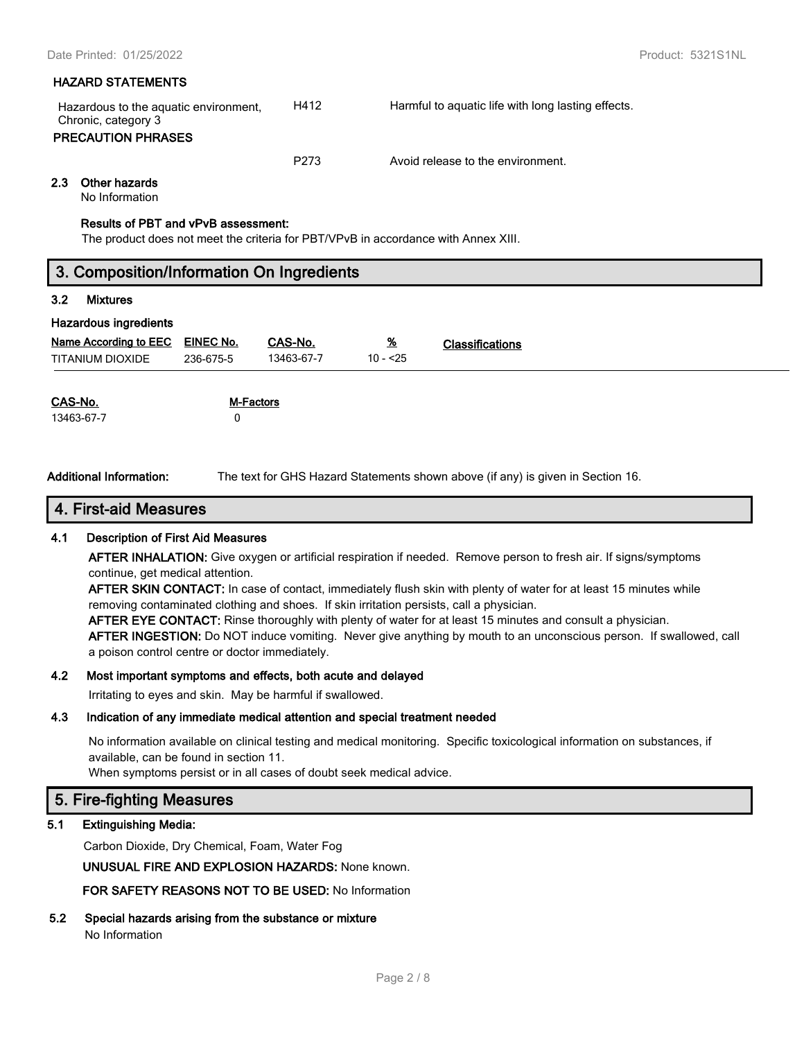### **HAZARD STATEMENTS**

| Hazardous to the aguatic environment,<br>Chronic, category 3<br><b>PRECAUTION PHRASES</b> | H412 | Harmful to aquatic life with long lasting effects. |
|-------------------------------------------------------------------------------------------|------|----------------------------------------------------|
|                                                                                           | P273 | Avoid release to the environment.                  |

### **2.3 Other hazards**

No Information

### **Results of PBT and vPvB assessment:**

The product does not meet the criteria for PBT/VPvB in accordance with Annex XIII.

| 3. Composition/Information On Ingredients |                  |                  |           |                                                                                |
|-------------------------------------------|------------------|------------------|-----------|--------------------------------------------------------------------------------|
| 3.2<br><b>Mixtures</b>                    |                  |                  |           |                                                                                |
| <b>Hazardous ingredients</b>              |                  |                  |           |                                                                                |
| Name According to EEC                     | <b>EINEC No.</b> | CAS-No.          | <u>%</u>  | <b>Classifications</b>                                                         |
| <b>TITANIUM DIOXIDE</b>                   | 236-675-5        | 13463-67-7       | $10 - 25$ |                                                                                |
|                                           |                  |                  |           |                                                                                |
| CAS-No.                                   |                  | <b>M-Factors</b> |           |                                                                                |
| 13463-67-7                                | 0                |                  |           |                                                                                |
|                                           |                  |                  |           |                                                                                |
|                                           |                  |                  |           |                                                                                |
| وسمائهم ممسماتهما المسماعا البالي         |                  |                  |           | The tent for OUO Herord Otatements abound about 15 and in prices in Ocation 10 |

**Additional Information:** The text for GHS Hazard Statements shown above (if any) is given in Section 16.

# **4. First-aid Measures**

### **4.1 Description of First Aid Measures**

**AFTER INHALATION:** Give oxygen or artificial respiration if needed. Remove person to fresh air. If signs/symptoms continue, get medical attention.

**AFTER SKIN CONTACT:** In case of contact, immediately flush skin with plenty of water for at least 15 minutes while removing contaminated clothing and shoes. If skin irritation persists, call a physician.

**AFTER EYE CONTACT:** Rinse thoroughly with plenty of water for at least 15 minutes and consult a physician.

**AFTER INGESTION:** Do NOT induce vomiting. Never give anything by mouth to an unconscious person. If swallowed, call a poison control centre or doctor immediately.

### **4.2 Most important symptoms and effects, both acute and delayed**

Irritating to eyes and skin. May be harmful if swallowed.

### **4.3 Indication of any immediate medical attention and special treatment needed**

No information available on clinical testing and medical monitoring. Specific toxicological information on substances, if available, can be found in section 11.

When symptoms persist or in all cases of doubt seek medical advice.

# **5. Fire-fighting Measures**

### **5.1 Extinguishing Media:**

Carbon Dioxide, Dry Chemical, Foam, Water Fog

**UNUSUAL FIRE AND EXPLOSION HAZARDS:** None known.

**FOR SAFETY REASONS NOT TO BE USED:** No Information

**5.2 Special hazards arising from the substance or mixture** No Information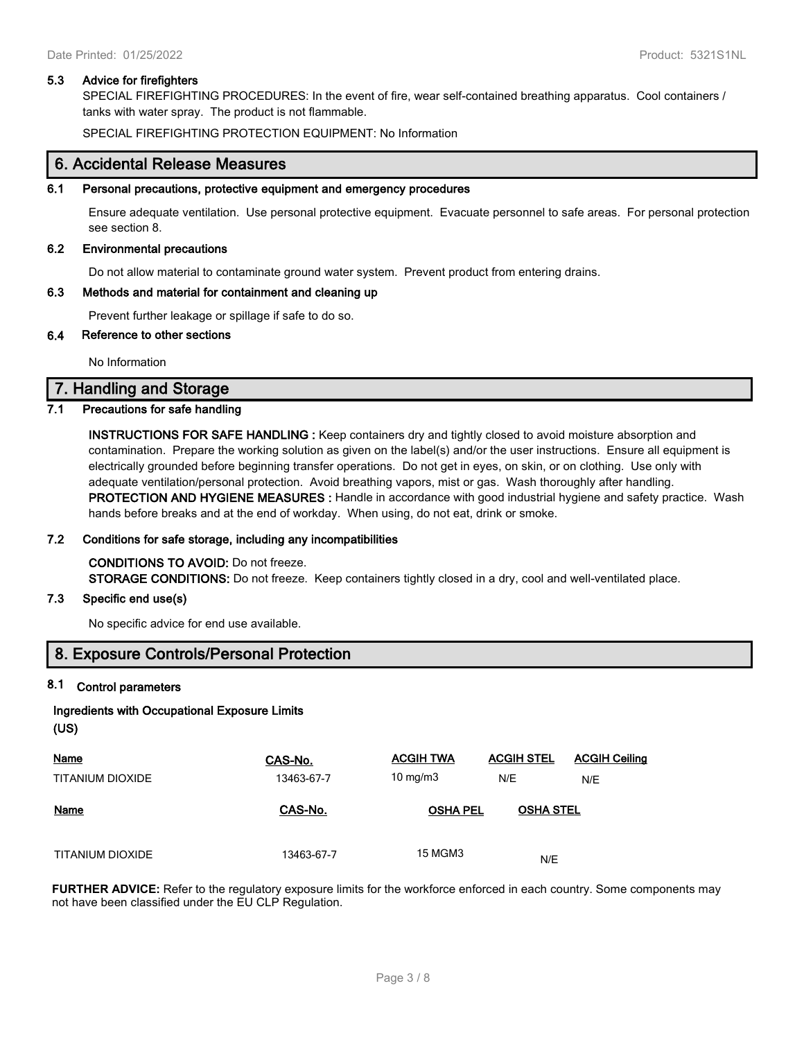### **5.3 Advice for firefighters**

SPECIAL FIREFIGHTING PROCEDURES: In the event of fire, wear self-contained breathing apparatus. Cool containers / tanks with water spray. The product is not flammable.

SPECIAL FIREFIGHTING PROTECTION EQUIPMENT: No Information

### **6. Accidental Release Measures**

### **6.1 Personal precautions, protective equipment and emergency procedures**

Ensure adequate ventilation. Use personal protective equipment. Evacuate personnel to safe areas. For personal protection see section 8.

#### **6.2 Environmental precautions**

Do not allow material to contaminate ground water system. Prevent product from entering drains.

### **6.3 Methods and material for containment and cleaning up**

Prevent further leakage or spillage if safe to do so.

### **6.4 Reference to other sections**

No Information

### **7. Handling and Storage**

### **7.1 Precautions for safe handling**

**INSTRUCTIONS FOR SAFE HANDLING :** Keep containers dry and tightly closed to avoid moisture absorption and contamination. Prepare the working solution as given on the label(s) and/or the user instructions. Ensure all equipment is electrically grounded before beginning transfer operations. Do not get in eyes, on skin, or on clothing. Use only with adequate ventilation/personal protection. Avoid breathing vapors, mist or gas. Wash thoroughly after handling. **PROTECTION AND HYGIENE MEASURES :** Handle in accordance with good industrial hygiene and safety practice. Wash hands before breaks and at the end of workday. When using, do not eat, drink or smoke.

### **7.2 Conditions for safe storage, including any incompatibilities**

**CONDITIONS TO AVOID:** Do not freeze. **STORAGE CONDITIONS:** Do not freeze. Keep containers tightly closed in a dry, cool and well-ventilated place.

### **7.3 Specific end use(s)**

No specific advice for end use available.

# **8. Exposure Controls/Personal Protection**

### **8.1 Control parameters**

# **Ingredients with Occupational Exposure Limits**

**(US)**

| <b>Name</b>      | CAS-No.    | <b>ACGIH TWA</b> | <b>ACGIH STEL</b> | <b>ACGIH Ceiling</b> |
|------------------|------------|------------------|-------------------|----------------------|
| TITANIUM DIOXIDE | 13463-67-7 | 10 mg/m $3$      | N/E               | N/E                  |
| <b>Name</b>      | CAS-No.    | <b>OSHA PEL</b>  | <b>OSHA STEL</b>  |                      |
| TITANIUM DIOXIDE | 13463-67-7 | <b>15 MGM3</b>   | N/E               |                      |

**FURTHER ADVICE:** Refer to the regulatory exposure limits for the workforce enforced in each country. Some components may not have been classified under the EU CLP Regulation.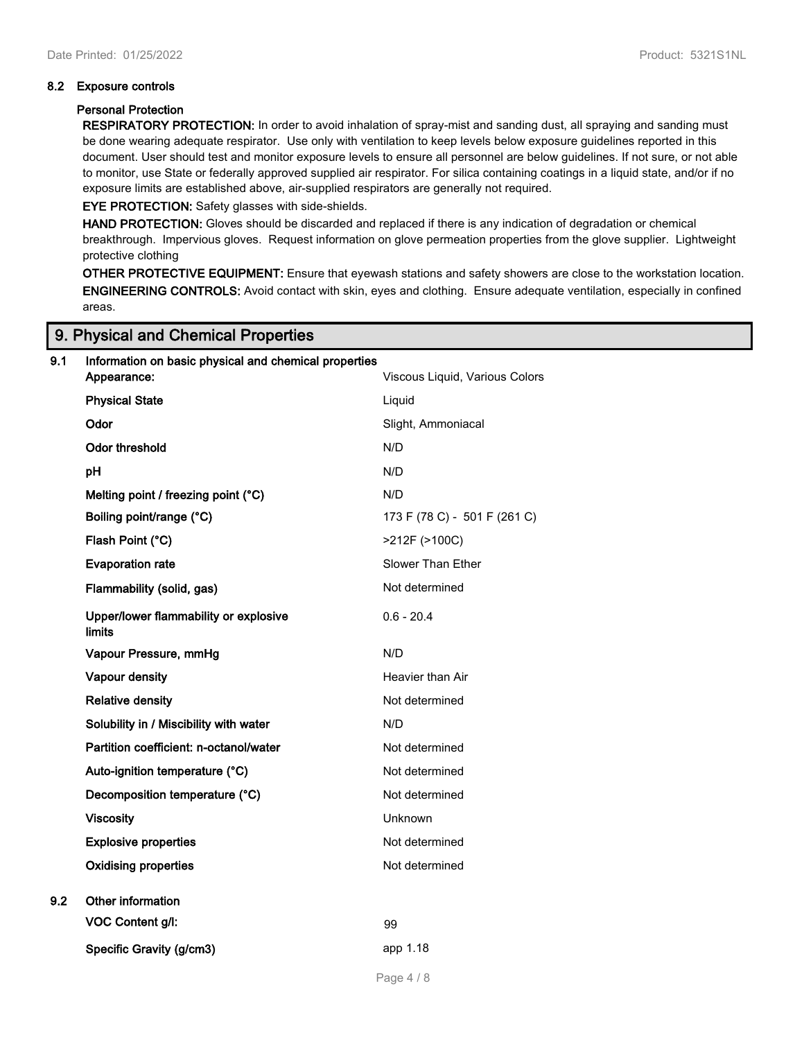### **8.2 Exposure controls**

### **Personal Protection**

**RESPIRATORY PROTECTION:** In order to avoid inhalation of spray-mist and sanding dust, all spraying and sanding must be done wearing adequate respirator. Use only with ventilation to keep levels below exposure guidelines reported in this document. User should test and monitor exposure levels to ensure all personnel are below guidelines. If not sure, or not able to monitor, use State or federally approved supplied air respirator. For silica containing coatings in a liquid state, and/or if no exposure limits are established above, air-supplied respirators are generally not required.

**EYE PROTECTION:** Safety glasses with side-shields.

**HAND PROTECTION:** Gloves should be discarded and replaced if there is any indication of degradation or chemical breakthrough. Impervious gloves. Request information on glove permeation properties from the glove supplier. Lightweight protective clothing

**OTHER PROTECTIVE EQUIPMENT:** Ensure that eyewash stations and safety showers are close to the workstation location. **ENGINEERING CONTROLS:** Avoid contact with skin, eyes and clothing. Ensure adequate ventilation, especially in confined areas.

### **9. Physical and Chemical Properties**

| 9.1 | Information on basic physical and chemical properties<br>Appearance: | Viscous Liquid, Various Colors |
|-----|----------------------------------------------------------------------|--------------------------------|
|     | <b>Physical State</b>                                                | Liquid                         |
|     | Odor                                                                 | Slight, Ammoniacal             |
|     | <b>Odor threshold</b>                                                | N/D                            |
|     | pH                                                                   | N/D                            |
|     | Melting point / freezing point (°C)                                  | N/D                            |
|     | Boiling point/range (°C)                                             | 173 F (78 C) - 501 F (261 C)   |
|     | Flash Point (°C)                                                     | >212F (>100C)                  |
|     | <b>Evaporation rate</b>                                              | Slower Than Ether              |
|     | Flammability (solid, gas)                                            | Not determined                 |
|     | Upper/lower flammability or explosive<br><b>limits</b>               | $0.6 - 20.4$                   |
|     | Vapour Pressure, mmHg                                                | N/D                            |
|     | Vapour density                                                       | Heavier than Air               |
|     | <b>Relative density</b>                                              | Not determined                 |
|     | Solubility in / Miscibility with water                               | N/D                            |
|     | Partition coefficient: n-octanol/water                               | Not determined                 |
|     | Auto-ignition temperature (°C)                                       | Not determined                 |
|     | Decomposition temperature (°C)                                       | Not determined                 |
|     | <b>Viscosity</b>                                                     | Unknown                        |
|     | <b>Explosive properties</b>                                          | Not determined                 |
|     | <b>Oxidising properties</b>                                          | Not determined                 |
| 9.2 | Other information                                                    |                                |
|     | <b>VOC Content g/l:</b>                                              | 99                             |
|     | Specific Gravity (g/cm3)                                             | app 1.18                       |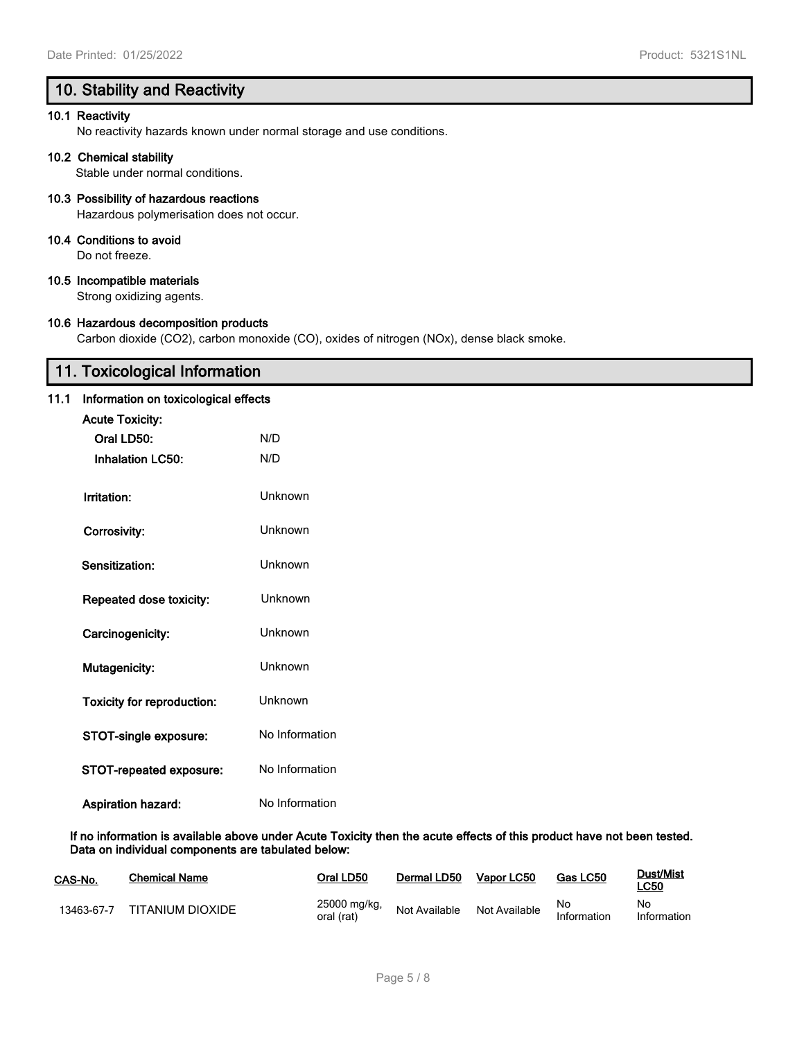# **10. Stability and Reactivity**

### **10.1 Reactivity**

No reactivity hazards known under normal storage and use conditions.

### **10.2 Chemical stability**

Stable under normal conditions.

### **10.3 Possibility of hazardous reactions**

Hazardous polymerisation does not occur.

### **10.4 Conditions to avoid**

Do not freeze.

### **10.5 Incompatible materials**

Strong oxidizing agents.

### **10.6 Hazardous decomposition products**

Carbon dioxide (CO2), carbon monoxide (CO), oxides of nitrogen (NOx), dense black smoke.

# **11. Toxicological Information**

### **11.1 Information on toxicological effects**

| <b>Acute Toxicity:</b>            |                |
|-----------------------------------|----------------|
| Oral LD50:                        | N/D            |
| <b>Inhalation LC50:</b>           | N/D            |
|                                   |                |
| Irritation:                       | Unknown        |
| Corrosivity:                      | Unknown        |
| Sensitization:                    | Unknown        |
|                                   |                |
| Repeated dose toxicity:           | Unknown        |
| Carcinogenicity:                  | Unknown        |
|                                   |                |
| <b>Mutagenicity:</b>              | Unknown        |
| <b>Toxicity for reproduction:</b> | Unknown        |
| STOT-single exposure:             | No Information |
| <b>STOT-repeated exposure:</b>    | No Information |
|                                   |                |
| <b>Aspiration hazard:</b>         | No Information |

#### **If no information is available above under Acute Toxicity then the acute effects of this product have not been tested. Data on individual components are tabulated below:**

| CAS-No.    | <b>Chemical Name</b> | Oral LD50                  | Dermal LD50   | Vapor LC50    | Gas LC50          | Dust/Mist<br><b>LC50</b> |
|------------|----------------------|----------------------------|---------------|---------------|-------------------|--------------------------|
| 13463-67-7 | TITANIUM DIOXIDE     | 25000 mg/kg,<br>oral (rat) | Not Available | Not Available | No<br>Information | No<br>Information        |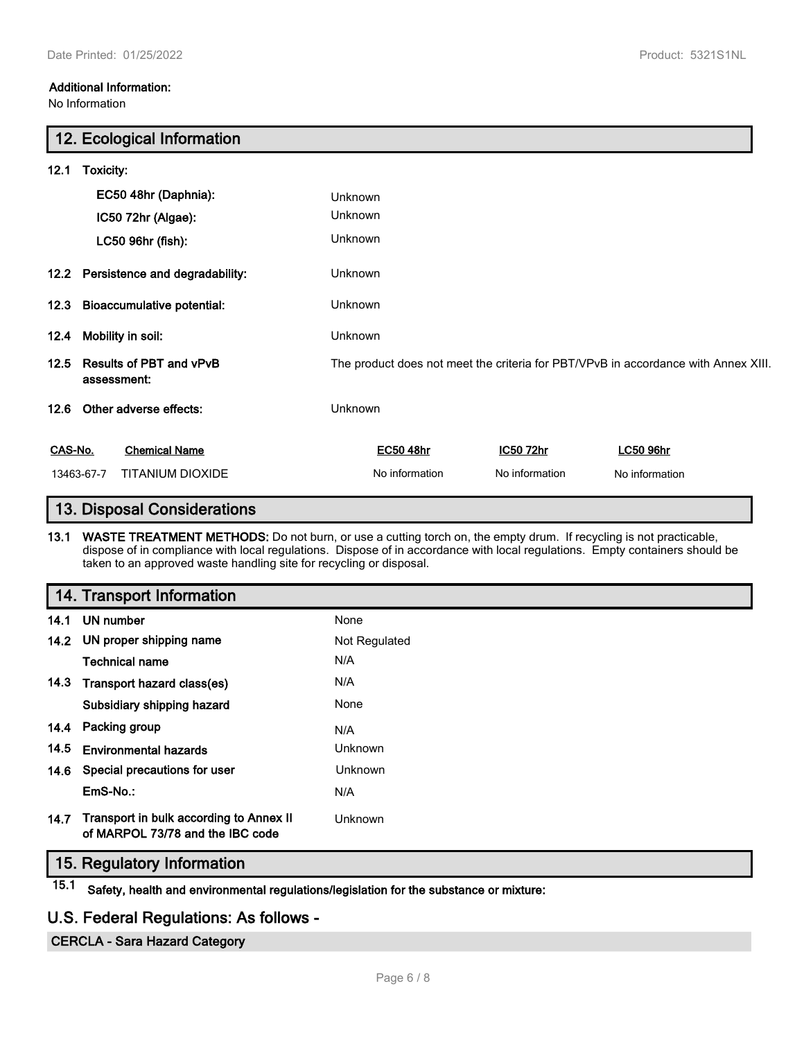No Information

# **12. Ecological Information**

| 12.1                                           | Toxicity:                                     |                                                                                    |                |                  |  |
|------------------------------------------------|-----------------------------------------------|------------------------------------------------------------------------------------|----------------|------------------|--|
|                                                | EC50 48hr (Daphnia):                          | Unknown                                                                            |                |                  |  |
|                                                | IC50 72hr (Algae):                            | Unknown                                                                            |                |                  |  |
|                                                | LC50 96hr (fish):                             | Unknown                                                                            |                |                  |  |
| 12.2 Persistence and degradability:<br>Unknown |                                               |                                                                                    |                |                  |  |
|                                                | 12.3 Bioaccumulative potential:               | Unknown                                                                            |                |                  |  |
| 12.4                                           | Mobility in soil:                             | Unknown                                                                            |                |                  |  |
| 12.5                                           | <b>Results of PBT and vPvB</b><br>assessment: | The product does not meet the criteria for PBT/VPvB in accordance with Annex XIII. |                |                  |  |
| 12.6                                           | Other adverse effects:                        | Unknown                                                                            |                |                  |  |
| CAS-No.                                        | <b>Chemical Name</b>                          | EC50 48hr                                                                          | IC50 72hr      | <b>LC50 96hr</b> |  |
|                                                | 13463-67-7<br>TITANIUM DIOXIDE                | No information                                                                     | No information | No information   |  |

# **13. Disposal Considerations**

**13.1 WASTE TREATMENT METHODS:** Do not burn, or use a cutting torch on, the empty drum. If recycling is not practicable, dispose of in compliance with local regulations. Dispose of in accordance with local regulations. Empty containers should be taken to an approved waste handling site for recycling or disposal.

|      | 14. Transport Information                                                   |               |
|------|-----------------------------------------------------------------------------|---------------|
|      | 14.1 UN number                                                              | None          |
|      | 14.2 UN proper shipping name                                                | Not Regulated |
|      | <b>Technical name</b>                                                       | N/A           |
|      | 14.3 Transport hazard class(es)                                             | N/A           |
|      | Subsidiary shipping hazard                                                  | None          |
|      | 14.4 Packing group                                                          | N/A           |
| 14.5 | <b>Environmental hazards</b>                                                | Unknown       |
|      | 14.6 Special precautions for user                                           | Unknown       |
|      | EmS-No.:                                                                    | N/A           |
| 14.7 | Transport in bulk according to Annex II<br>of MARPOL 73/78 and the IBC code | Unknown       |

# **15. Regulatory Information**

**15.1 Safety, health and environmental regulations/legislation for the substance or mixture:**

# **U.S. Federal Regulations: As follows -**

**CERCLA - Sara Hazard Category**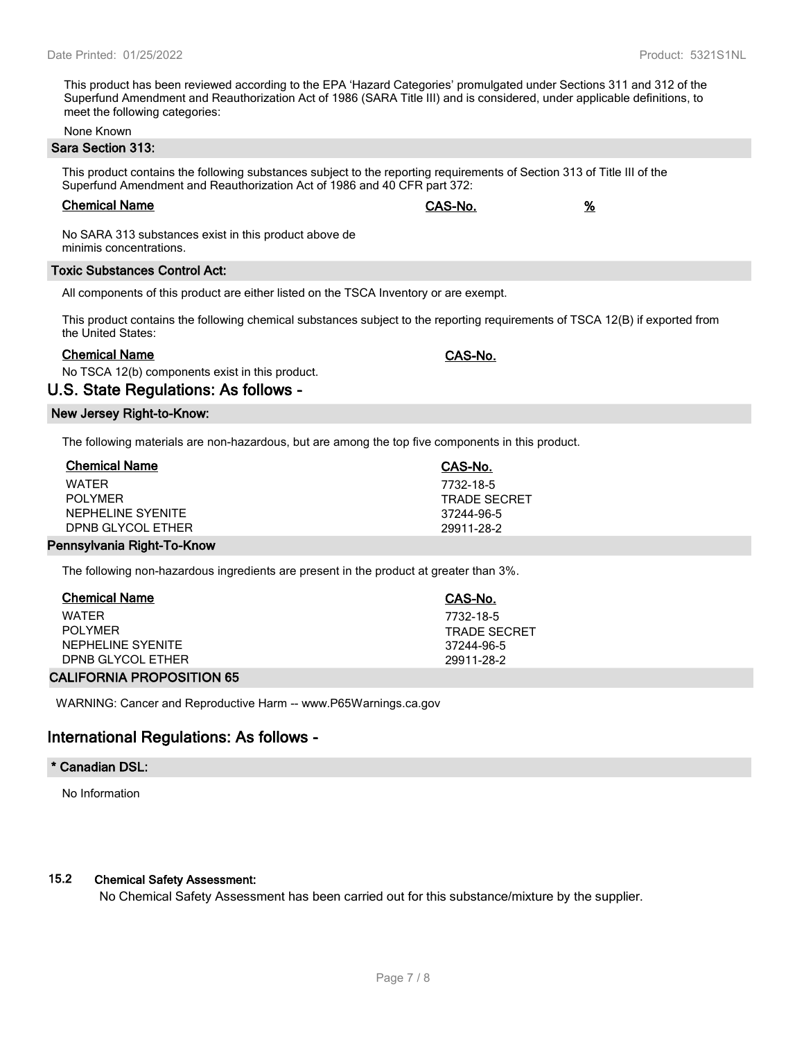This product has been reviewed according to the EPA 'Hazard Categories' promulgated under Sections 311 and 312 of the Superfund Amendment and Reauthorization Act of 1986 (SARA Title III) and is considered, under applicable definitions, to meet the following categories:

None Known

### **Sara Section 313:**

This product contains the following substances subject to the reporting requirements of Section 313 of Title III of the Superfund Amendment and Reauthorization Act of 1986 and 40 CFR part 372:

### **Chemical Name CAS-No. %**

No SARA 313 substances exist in this product above de minimis concentrations.

#### **Toxic Substances Control Act:**

All components of this product are either listed on the TSCA Inventory or are exempt.

This product contains the following chemical substances subject to the reporting requirements of TSCA 12(B) if exported from the United States:

### **Chemical Name CAS-No.**

No TSCA 12(b) components exist in this product.

### **U.S. State Regulations: As follows -**

### **New Jersey Right-to-Know:**

The following materials are non-hazardous, but are among the top five components in this product.

| <b>Chemical Name</b>       | CAS-No.             |  |
|----------------------------|---------------------|--|
| WATFR                      | 7732-18-5           |  |
| POI YMFR                   | <b>TRADE SECRET</b> |  |
| NEPHELINE SYENITE          | 37244-96-5          |  |
| DPNB GLYCOL ETHER          | 29911-28-2          |  |
| Pennsylvania Right-To-Know |                     |  |

The following non-hazardous ingredients are present in the product at greater than 3%.

| <b>Chemical Name</b> | CAS-No.      |
|----------------------|--------------|
| WATFR                | 7732-18-5    |
| POI YMFR             | TRADE SECRET |
| NEPHELINE SYENITE    | 37244-96-5   |
| DPNB GLYCOL ETHER    | 29911-28-2   |
|                      |              |

### **CALIFORNIA PROPOSITION 65**

WARNING: Cancer and Reproductive Harm -- www.P65Warnings.ca.gov

# **International Regulations: As follows -**

#### **\* Canadian DSL:**

No Information

### **15.2 Chemical Safety Assessment:**

No Chemical Safety Assessment has been carried out for this substance/mixture by the supplier.